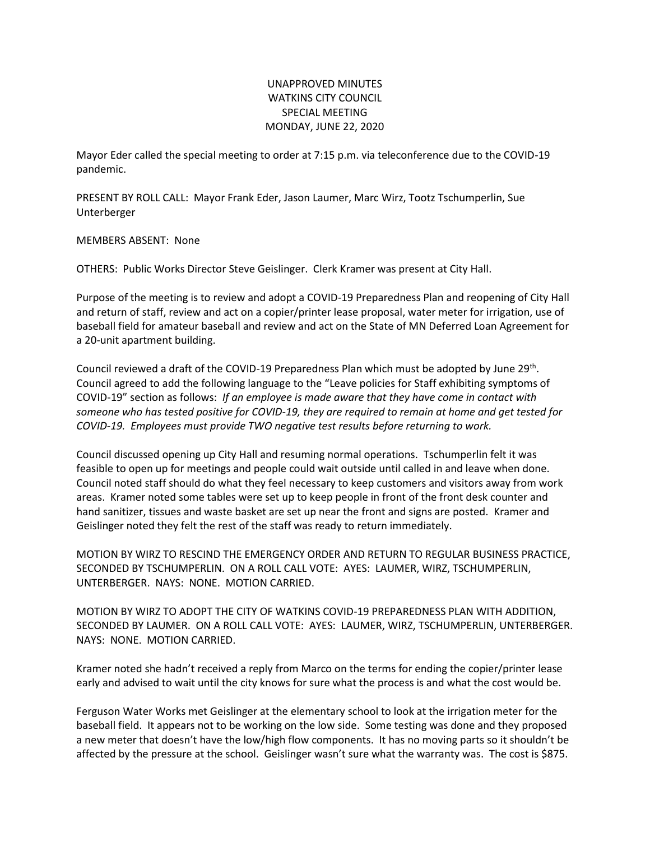## UNAPPROVED MINUTES WATKINS CITY COUNCIL SPECIAL MEETING MONDAY, JUNE 22, 2020

Mayor Eder called the special meeting to order at 7:15 p.m. via teleconference due to the COVID-19 pandemic.

PRESENT BY ROLL CALL: Mayor Frank Eder, Jason Laumer, Marc Wirz, Tootz Tschumperlin, Sue Unterberger

MEMBERS ABSENT: None

OTHERS: Public Works Director Steve Geislinger. Clerk Kramer was present at City Hall.

Purpose of the meeting is to review and adopt a COVID-19 Preparedness Plan and reopening of City Hall and return of staff, review and act on a copier/printer lease proposal, water meter for irrigation, use of baseball field for amateur baseball and review and act on the State of MN Deferred Loan Agreement for a 20-unit apartment building.

Council reviewed a draft of the COVID-19 Preparedness Plan which must be adopted by June 29<sup>th</sup>. Council agreed to add the following language to the "Leave policies for Staff exhibiting symptoms of COVID-19" section as follows: *If an employee is made aware that they have come in contact with someone who has tested positive for COVID-19, they are required to remain at home and get tested for COVID-19. Employees must provide TWO negative test results before returning to work.* 

Council discussed opening up City Hall and resuming normal operations. Tschumperlin felt it was feasible to open up for meetings and people could wait outside until called in and leave when done. Council noted staff should do what they feel necessary to keep customers and visitors away from work areas. Kramer noted some tables were set up to keep people in front of the front desk counter and hand sanitizer, tissues and waste basket are set up near the front and signs are posted. Kramer and Geislinger noted they felt the rest of the staff was ready to return immediately.

MOTION BY WIRZ TO RESCIND THE EMERGENCY ORDER AND RETURN TO REGULAR BUSINESS PRACTICE, SECONDED BY TSCHUMPERLIN. ON A ROLL CALL VOTE: AYES: LAUMER, WIRZ, TSCHUMPERLIN, UNTERBERGER. NAYS: NONE. MOTION CARRIED.

MOTION BY WIRZ TO ADOPT THE CITY OF WATKINS COVID-19 PREPAREDNESS PLAN WITH ADDITION, SECONDED BY LAUMER. ON A ROLL CALL VOTE: AYES: LAUMER, WIRZ, TSCHUMPERLIN, UNTERBERGER. NAYS: NONE. MOTION CARRIED.

Kramer noted she hadn't received a reply from Marco on the terms for ending the copier/printer lease early and advised to wait until the city knows for sure what the process is and what the cost would be.

Ferguson Water Works met Geislinger at the elementary school to look at the irrigation meter for the baseball field. It appears not to be working on the low side. Some testing was done and they proposed a new meter that doesn't have the low/high flow components. It has no moving parts so it shouldn't be affected by the pressure at the school. Geislinger wasn't sure what the warranty was. The cost is \$875.